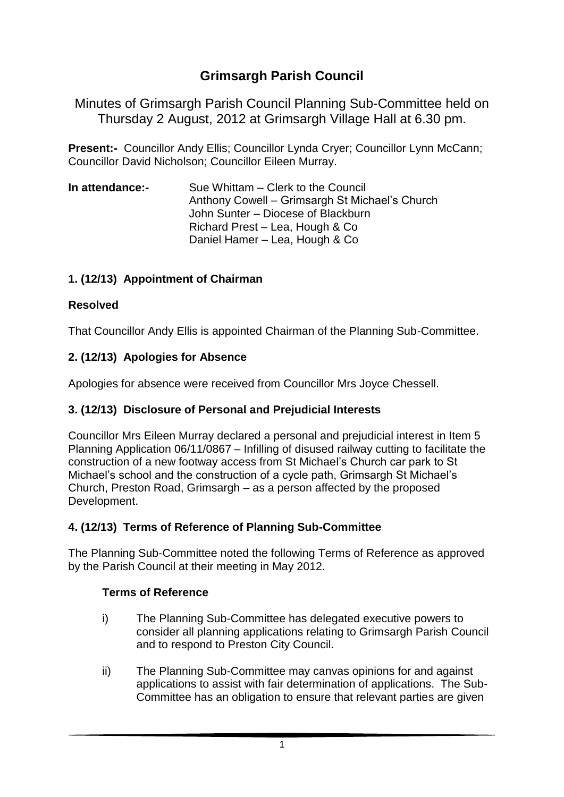# **Grimsargh Parish Council**

Minutes of Grimsargh Parish Council Planning Sub-Committee held on Thursday 2 August, 2012 at Grimsargh Village Hall at 6.30 pm.

**Present:-** Councillor Andy Ellis; Councillor Lynda Cryer; Councillor Lynn McCann; Councillor David Nicholson; Councillor Eileen Murray.

**In attendance:-** Sue Whittam – Clerk to the Council Anthony Cowell – Grimsargh St Michael's Church John Sunter – Diocese of Blackburn Richard Prest – Lea, Hough & Co Daniel Hamer – Lea, Hough & Co

## **1. (12/13) Appointment of Chairman**

## **Resolved**

That Councillor Andy Ellis is appointed Chairman of the Planning Sub-Committee.

## **2. (12/13) Apologies for Absence**

Apologies for absence were received from Councillor Mrs Joyce Chessell.

## **3. (12/13) Disclosure of Personal and Prejudicial Interests**

Councillor Mrs Eileen Murray declared a personal and prejudicial interest in Item 5 Planning Application 06/11/0867 – Infilling of disused railway cutting to facilitate the construction of a new footway access from St Michael's Church car park to St Michael's school and the construction of a cycle path, Grimsargh St Michael's Church, Preston Road, Grimsargh – as a person affected by the proposed Development.

## **4. (12/13) Terms of Reference of Planning Sub-Committee**

The Planning Sub-Committee noted the following Terms of Reference as approved by the Parish Council at their meeting in May 2012.

## **Terms of Reference**

- i) The Planning Sub-Committee has delegated executive powers to consider all planning applications relating to Grimsargh Parish Council and to respond to Preston City Council.
- ii) The Planning Sub-Committee may canvas opinions for and against applications to assist with fair determination of applications. The Sub-Committee has an obligation to ensure that relevant parties are given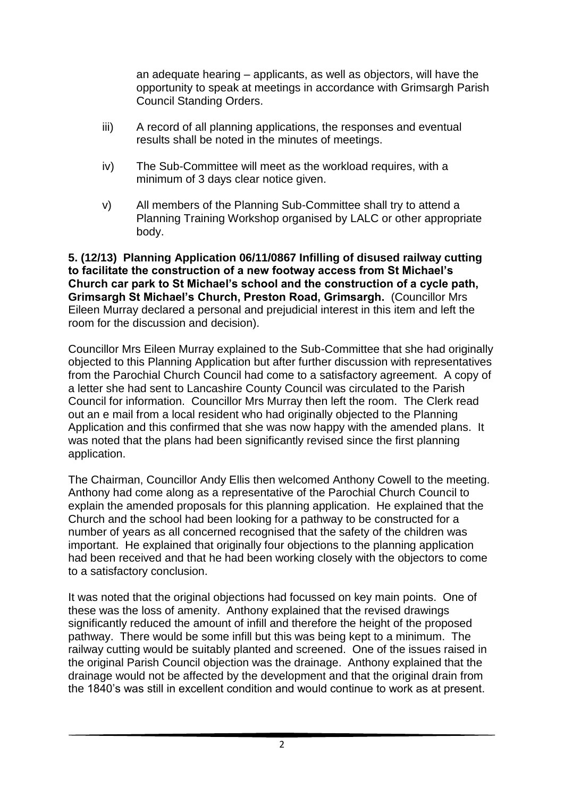an adequate hearing – applicants, as well as objectors, will have the opportunity to speak at meetings in accordance with Grimsargh Parish Council Standing Orders.

- iii) A record of all planning applications, the responses and eventual results shall be noted in the minutes of meetings.
- iv) The Sub-Committee will meet as the workload requires, with a minimum of 3 days clear notice given.
- v) All members of the Planning Sub-Committee shall try to attend a Planning Training Workshop organised by LALC or other appropriate body.

**5. (12/13) Planning Application 06/11/0867 Infilling of disused railway cutting to facilitate the construction of a new footway access from St Michael's Church car park to St Michael's school and the construction of a cycle path, Grimsargh St Michael's Church, Preston Road, Grimsargh.** (Councillor Mrs Eileen Murray declared a personal and prejudicial interest in this item and left the room for the discussion and decision).

Councillor Mrs Eileen Murray explained to the Sub-Committee that she had originally objected to this Planning Application but after further discussion with representatives from the Parochial Church Council had come to a satisfactory agreement. A copy of a letter she had sent to Lancashire County Council was circulated to the Parish Council for information. Councillor Mrs Murray then left the room. The Clerk read out an e mail from a local resident who had originally objected to the Planning Application and this confirmed that she was now happy with the amended plans. It was noted that the plans had been significantly revised since the first planning application.

The Chairman, Councillor Andy Ellis then welcomed Anthony Cowell to the meeting. Anthony had come along as a representative of the Parochial Church Council to explain the amended proposals for this planning application. He explained that the Church and the school had been looking for a pathway to be constructed for a number of years as all concerned recognised that the safety of the children was important. He explained that originally four objections to the planning application had been received and that he had been working closely with the objectors to come to a satisfactory conclusion.

It was noted that the original objections had focussed on key main points. One of these was the loss of amenity. Anthony explained that the revised drawings significantly reduced the amount of infill and therefore the height of the proposed pathway. There would be some infill but this was being kept to a minimum. The railway cutting would be suitably planted and screened. One of the issues raised in the original Parish Council objection was the drainage. Anthony explained that the drainage would not be affected by the development and that the original drain from the 1840's was still in excellent condition and would continue to work as at present.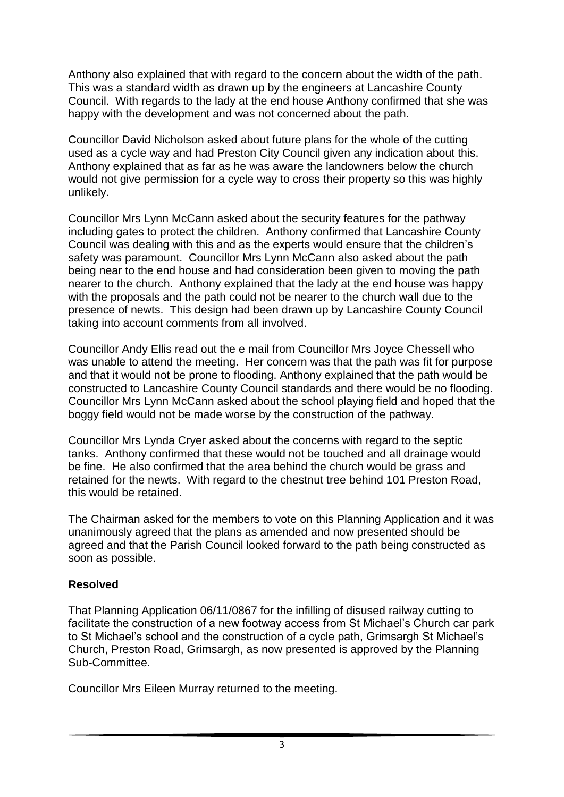Anthony also explained that with regard to the concern about the width of the path. This was a standard width as drawn up by the engineers at Lancashire County Council. With regards to the lady at the end house Anthony confirmed that she was happy with the development and was not concerned about the path.

Councillor David Nicholson asked about future plans for the whole of the cutting used as a cycle way and had Preston City Council given any indication about this. Anthony explained that as far as he was aware the landowners below the church would not give permission for a cycle way to cross their property so this was highly unlikely.

Councillor Mrs Lynn McCann asked about the security features for the pathway including gates to protect the children. Anthony confirmed that Lancashire County Council was dealing with this and as the experts would ensure that the children's safety was paramount. Councillor Mrs Lynn McCann also asked about the path being near to the end house and had consideration been given to moving the path nearer to the church. Anthony explained that the lady at the end house was happy with the proposals and the path could not be nearer to the church wall due to the presence of newts. This design had been drawn up by Lancashire County Council taking into account comments from all involved.

Councillor Andy Ellis read out the e mail from Councillor Mrs Joyce Chessell who was unable to attend the meeting. Her concern was that the path was fit for purpose and that it would not be prone to flooding. Anthony explained that the path would be constructed to Lancashire County Council standards and there would be no flooding. Councillor Mrs Lynn McCann asked about the school playing field and hoped that the boggy field would not be made worse by the construction of the pathway.

Councillor Mrs Lynda Cryer asked about the concerns with regard to the septic tanks. Anthony confirmed that these would not be touched and all drainage would be fine. He also confirmed that the area behind the church would be grass and retained for the newts. With regard to the chestnut tree behind 101 Preston Road, this would be retained.

The Chairman asked for the members to vote on this Planning Application and it was unanimously agreed that the plans as amended and now presented should be agreed and that the Parish Council looked forward to the path being constructed as soon as possible.

## **Resolved**

That Planning Application 06/11/0867 for the infilling of disused railway cutting to facilitate the construction of a new footway access from St Michael's Church car park to St Michael's school and the construction of a cycle path, Grimsargh St Michael's Church, Preston Road, Grimsargh, as now presented is approved by the Planning Sub-Committee.

Councillor Mrs Eileen Murray returned to the meeting.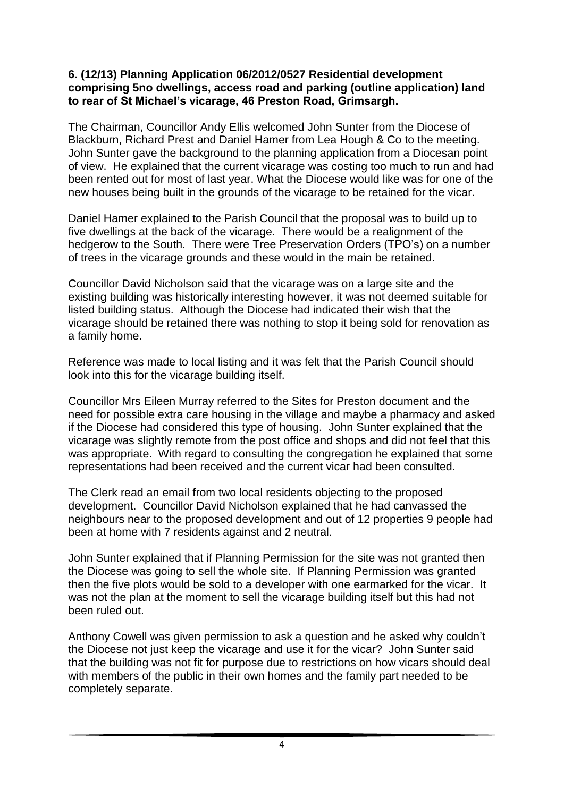#### **6. (12/13) Planning Application 06/2012/0527 Residential development comprising 5no dwellings, access road and parking (outline application) land to rear of St Michael's vicarage, 46 Preston Road, Grimsargh.**

The Chairman, Councillor Andy Ellis welcomed John Sunter from the Diocese of Blackburn, Richard Prest and Daniel Hamer from Lea Hough & Co to the meeting. John Sunter gave the background to the planning application from a Diocesan point of view. He explained that the current vicarage was costing too much to run and had been rented out for most of last year. What the Diocese would like was for one of the new houses being built in the grounds of the vicarage to be retained for the vicar.

Daniel Hamer explained to the Parish Council that the proposal was to build up to five dwellings at the back of the vicarage. There would be a realignment of the hedgerow to the South. There were Tree Preservation Orders (TPO's) on a number of trees in the vicarage grounds and these would in the main be retained.

Councillor David Nicholson said that the vicarage was on a large site and the existing building was historically interesting however, it was not deemed suitable for listed building status. Although the Diocese had indicated their wish that the vicarage should be retained there was nothing to stop it being sold for renovation as a family home.

Reference was made to local listing and it was felt that the Parish Council should look into this for the vicarage building itself.

Councillor Mrs Eileen Murray referred to the Sites for Preston document and the need for possible extra care housing in the village and maybe a pharmacy and asked if the Diocese had considered this type of housing. John Sunter explained that the vicarage was slightly remote from the post office and shops and did not feel that this was appropriate. With regard to consulting the congregation he explained that some representations had been received and the current vicar had been consulted.

The Clerk read an email from two local residents objecting to the proposed development. Councillor David Nicholson explained that he had canvassed the neighbours near to the proposed development and out of 12 properties 9 people had been at home with 7 residents against and 2 neutral.

John Sunter explained that if Planning Permission for the site was not granted then the Diocese was going to sell the whole site. If Planning Permission was granted then the five plots would be sold to a developer with one earmarked for the vicar. It was not the plan at the moment to sell the vicarage building itself but this had not been ruled out.

Anthony Cowell was given permission to ask a question and he asked why couldn't the Diocese not just keep the vicarage and use it for the vicar? John Sunter said that the building was not fit for purpose due to restrictions on how vicars should deal with members of the public in their own homes and the family part needed to be completely separate.